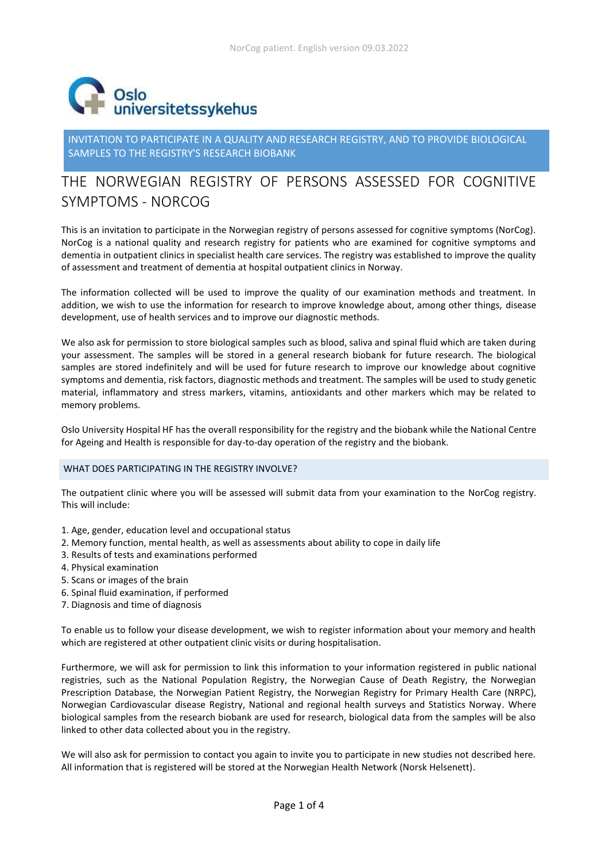

INVITATION TO PARTICIPATE IN A QUALITY AND RESEARCH REGISTRY, AND TO PROVIDE BIOLOGICAL SAMPLES TO THE REGISTRY'S RESEARCH BIOBANK

# THE NORWEGIAN REGISTRY OF PERSONS ASSESSED FOR COGNITIVE SYMPTOMS - NORCOG

This is an invitation to participate in the Norwegian registry of persons assessed for cognitive symptoms (NorCog). NorCog is a national quality and research registry for patients who are examined for cognitive symptoms and dementia in outpatient clinics in specialist health care services. The registry was established to improve the quality of assessment and treatment of dementia at hospital outpatient clinics in Norway.

The information collected will be used to improve the quality of our examination methods and treatment. In addition, we wish to use the information for research to improve knowledge about, among other things, disease development, use of health services and to improve our diagnostic methods.

We also ask for permission to store biological samples such as blood, saliva and spinal fluid which are taken during your assessment. The samples will be stored in a general research biobank for future research. The biological samples are stored indefinitely and will be used for future research to improve our knowledge about cognitive symptoms and dementia, risk factors, diagnostic methods and treatment. The samples will be used to study genetic material, inflammatory and stress markers, vitamins, antioxidants and other markers which may be related to memory problems.

Oslo University Hospital HF has the overall responsibility for the registry and the biobank while the National Centre for Ageing and Health is responsible for day-to-day operation of the registry and the biobank.

# WHAT DOES PARTICIPATING IN THE REGISTRY INVOLVE?

The outpatient clinic where you will be assessed will submit data from your examination to the NorCog registry. This will include:

- 1. Age, gender, education level and occupational status
- 2. Memory function, mental health, as well as assessments about ability to cope in daily life
- 3. Results of tests and examinations performed
- 4. Physical examination
- 5. Scans or images of the brain
- 6. Spinal fluid examination, if performed
- 7. Diagnosis and time of diagnosis

To enable us to follow your disease development, we wish to register information about your memory and health which are registered at other outpatient clinic visits or during hospitalisation.

Furthermore, we will ask for permission to link this information to your information registered in public national registries, such as the National Population Registry, the Norwegian Cause of Death Registry, the Norwegian Prescription Database, the Norwegian Patient Registry, the Norwegian Registry for Primary Health Care (NRPC), Norwegian Cardiovascular disease Registry, National and regional health surveys and Statistics Norway. Where biological samples from the research biobank are used for research, biological data from the samples will be also linked to other data collected about you in the registry.

We will also ask for permission to contact you again to invite you to participate in new studies not described here. All information that is registered will be stored at the Norwegian Health Network (Norsk Helsenett).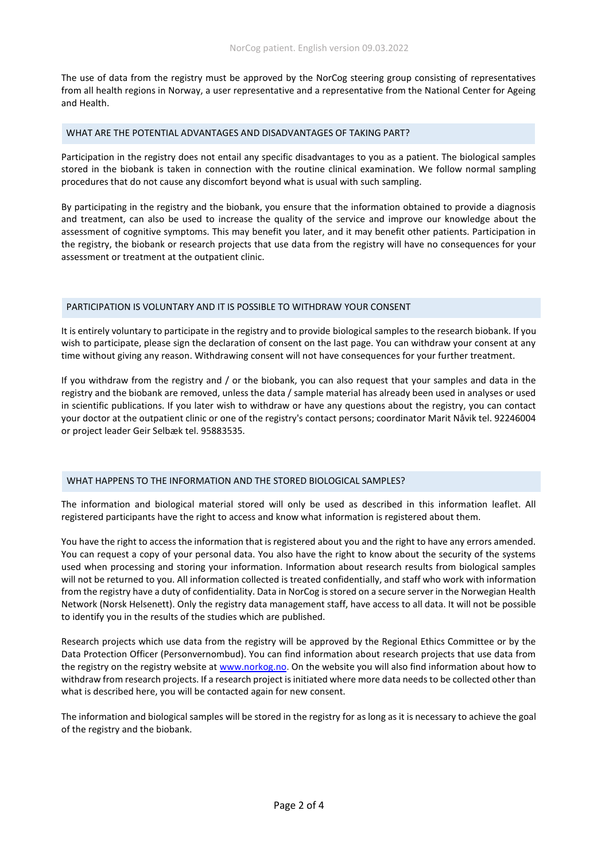The use of data from the registry must be approved by the NorCog steering group consisting of representatives from all health regions in Norway, a user representative and a representative from the National Center for Ageing and Health.

### WHAT ARE THE POTENTIAL ADVANTAGES AND DISADVANTAGES OF TAKING PART?

Participation in the registry does not entail any specific disadvantages to you as a patient. The biological samples stored in the biobank is taken in connection with the routine clinical examination. We follow normal sampling procedures that do not cause any discomfort beyond what is usual with such sampling.

By participating in the registry and the biobank, you ensure that the information obtained to provide a diagnosis and treatment, can also be used to increase the quality of the service and improve our knowledge about the assessment of cognitive symptoms. This may benefit you later, and it may benefit other patients. Participation in the registry, the biobank or research projects that use data from the registry will have no consequences for your assessment or treatment at the outpatient clinic.

# PARTICIPATION IS VOLUNTARY AND IT IS POSSIBLE TO WITHDRAW YOUR CONSENT

It is entirely voluntary to participate in the registry and to provide biological samples to the research biobank. If you wish to participate, please sign the declaration of consent on the last page. You can withdraw your consent at any time without giving any reason. Withdrawing consent will not have consequences for your further treatment.

If you withdraw from the registry and / or the biobank, you can also request that your samples and data in the registry and the biobank are removed, unless the data / sample material has already been used in analyses or used in scientific publications. If you later wish to withdraw or have any questions about the registry, you can contact your doctor at the outpatient clinic or one of the registry's contact persons; coordinator Marit Nåvik tel. 92246004 or project leader Geir Selbæk tel. 95883535.

# WHAT HAPPENS TO THE INFORMATION AND THE STORED BIOLOGICAL SAMPLES?

The information and biological material stored will only be used as described in this information leaflet. All registered participants have the right to access and know what information is registered about them.

You have the right to access the information that is registered about you and the right to have any errors amended. You can request a copy of your personal data. You also have the right to know about the security of the systems used when processing and storing your information. Information about research results from biological samples will not be returned to you. All information collected is treated confidentially, and staff who work with information from the registry have a duty of confidentiality. Data in NorCog is stored on a secure server in the Norwegian Health Network (Norsk Helsenett). Only the registry data management staff, have access to all data. It will not be possible to identify you in the results of the studies which are published.

Research projects which use data from the registry will be approved by the Regional Ethics Committee or by the Data Protection Officer (Personvernombud). You can find information about research projects that use data from the registry on the registry website at [www.norkog.no.](http://www.norkog.no/) On the website you will also find information about how to withdraw from research projects. If a research project is initiated where more data needs to be collected other than what is described here, you will be contacted again for new consent.

The information and biological samples will be stored in the registry for as long as it is necessary to achieve the goal of the registry and the biobank.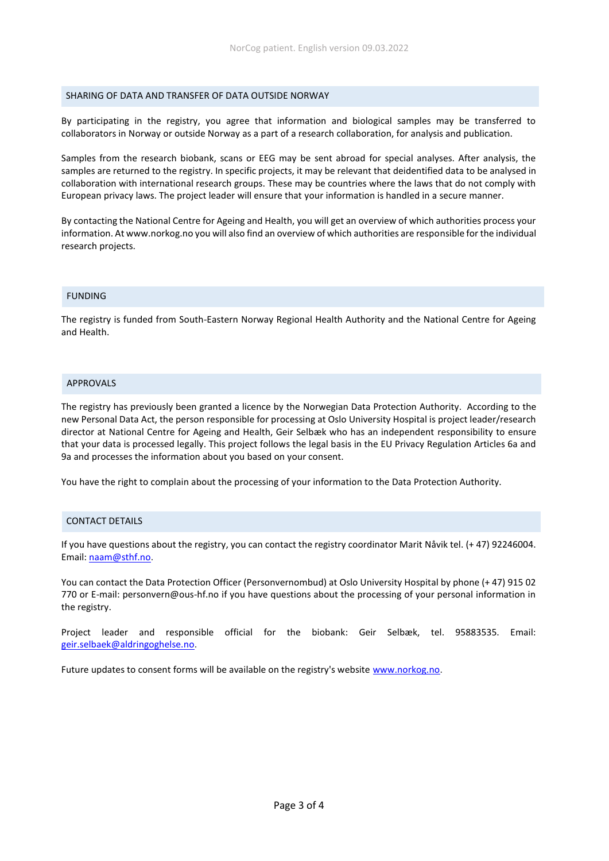#### SHARING OF DATA AND TRANSFER OF DATA OUTSIDE NORWAY

By participating in the registry, you agree that information and biological samples may be transferred to collaborators in Norway or outside Norway as a part of a research collaboration, for analysis and publication.

Samples from the research biobank, scans or EEG may be sent abroad for special analyses. After analysis, the samples are returned to the registry. In specific projects, it may be relevant that deidentified data to be analysed in collaboration with international research groups. These may be countries where the laws that do not comply with European privacy laws. The project leader will ensure that your information is handled in a secure manner.

By contacting the National Centre for Ageing and Health, you will get an overview of which authorities process your information. At www.norkog.no you will also find an overview of which authorities are responsible for the individual research projects.

#### FUNDING

The registry is funded from South-Eastern Norway Regional Health Authority and the National Centre for Ageing and Health.

#### APPROVALS

The registry has previously been granted a licence by the Norwegian Data Protection Authority. According to the new Personal Data Act, the person responsible for processing at Oslo University Hospital is project leader/research director at National Centre for Ageing and Health, Geir Selbæk who has an independent responsibility to ensure that your data is processed legally. This project follows the legal basis in the EU Privacy Regulation Articles 6a and 9a and processes the information about you based on your consent.

You have the right to complain about the processing of your information to the Data Protection Authority.

# CONTACT DETAILS

If you have questions about the registry, you can contact the registry coordinator Marit Nåvik tel. (+ 47) 92246004. Email: [naam@sthf.no.](mailto:naam@sthf.no)

You can contact the Data Protection Officer (Personvernombud) at Oslo University Hospital by phone (+ 47) 915 02 770 or E-mail: personvern@ous-hf.no if you have questions about the processing of your personal information in the registry.

Project leader and responsible official for the biobank: Geir Selbæk, tel. 95883535. Email: [geir.selbaek@aldringoghelse.no.](mailto:geir.selbaek@aldringoghelse.no)

Future updates to consent forms will be available on the registry's website [www.norkog.no.](http://www.norkog.no/)